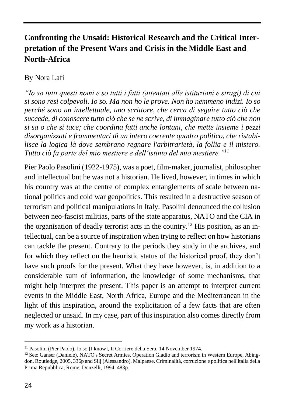## **Confronting the Unsaid: Historical Research and the Critical Interpretation of the Present Wars and Crisis in the Middle East and North-Africa**

## By Nora Lafi

*"Io so tutti questi nomi e so tutti i fatti (attentati alle istituzioni e stragi) di cui si sono resi colpevoli. Io so. Ma non ho le prove. Non ho nemmeno indizi. Io so perché sono un intellettuale, uno scrittore, che cerca di seguire tutto ciò che succede, di conoscere tutto ciò che se ne scrive, di immaginare tutto ciò che non si sa o che si tace; che coordina fatti anche lontani, che mette insieme i pezzi disorganizzati e frammentari di un intero coerente quadro politico, che ristabilisce la logica là dove sembrano regnare l'arbitrarietà, la follia e il mistero. Tutto ciò fa parte del mio mestiere e dell'istinto del mio mestiere."<sup>11</sup>*

Pier Paolo Pasolini (1922-1975), was a poet, film-maker, journalist, philosopher and intellectual but he was not a historian. He lived, however, in times in which his country was at the centre of complex entanglements of scale between national politics and cold war geopolitics. This resulted in a destructive season of terrorism and political manipulations in Italy. Pasolini denounced the collusion between neo-fascist militias, parts of the state apparatus, NATO and the CIA in the organisation of deadly terrorist acts in the country.<sup>12</sup> His position, as an intellectual, can be a source of inspiration when trying to reflect on how historians can tackle the present. Contrary to the periods they study in the archives, and for which they reflect on the heuristic status of the historical proof, they don't have such proofs for the present. What they have however, is, in addition to a considerable sum of information, the knowledge of some mechanisms, that might help interpret the present. This paper is an attempt to interpret current events in the Middle East, North Africa, Europe and the Mediterranean in the light of this inspiration, around the explicitation of a few facts that are often neglected or unsaid. In my case, part of this inspiration also comes directly from my work as a historian.

1

<sup>&</sup>lt;sup>11</sup> Pasolini (Pier Paolo), Io so [I know], Il Corriere della Sera, 14 November 1974.

 $12$  See: Ganser (Daniele), NATO's Secret Armies. Operation Gladio and terrorism in Western Europe, Abingdon, Routledge, 2005, 336p and Silj (Alessandro), Malpaese. Criminalità, corruzione e politica nell'Italia della Prima Repubblica, Rome, Donzelli, 1994, 483p.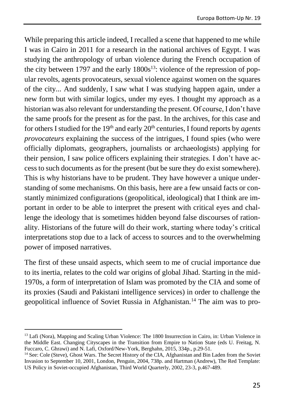While preparing this article indeed, I recalled a scene that happened to me while I was in Cairo in 2011 for a research in the national archives of Egypt. I was studying the anthropology of urban violence during the French occupation of the city between 1797 and the early  $1800s^{13}$ : violence of the repression of popular revolts, agents provocateurs, sexual violence against women on the squares of the city... And suddenly, I saw what I was studying happen again, under a new form but with similar logics, under my eyes. I thought my approach as a historian was also relevant for understanding the present. Of course, I don't have the same proofs for the present as for the past. In the archives, for this case and for others I studied for the 19<sup>th</sup> and early 20<sup>th</sup> centuries, I found reports by *agents provocateurs* explaining the success of the intrigues, I found spies (who were officially diplomats, geographers, journalists or archaeologists) applying for their pension, I saw police officers explaining their strategies. I don't have access to such documents as for the present (but be sure they do exist somewhere). This is why historians have to be prudent. They have however a unique understanding of some mechanisms. On this basis, here are a few unsaid facts or constantly minimized configurations (geopolitical, ideological) that I think are important in order to be able to interpret the present with critical eyes and challenge the ideology that is sometimes hidden beyond false discourses of rationality. Historians of the future will do their work, starting where today's critical interpretations stop due to a lack of access to sources and to the overwhelming power of imposed narratives.

The first of these unsaid aspects, which seem to me of crucial importance due to its inertia, relates to the cold war origins of global Jihad. Starting in the mid-1970s, a form of interpretation of Islam was promoted by the CIA and some of its proxies (Saudi and Pakistani intelligence services) in order to challenge the geopolitical influence of Soviet Russia in Afghanistan.<sup>14</sup> The aim was to pro-

-

<sup>&</sup>lt;sup>13</sup> Lafi (Nora), Mapping and Scaling Urban Violence: The 1800 Insurrection in Cairo, in: Urban Violence in the Middle East. Changing Cityscapes in the Transition from Empire to Nation State (eds U. Freitag, N. Fuccaro, C. Ghrawi) and N. Lafi, Oxford/New-York, Berghahn, 2015, 334p., p.29-51.

<sup>&</sup>lt;sup>14</sup> See: Cole (Steve), Ghost Wars. The Secret History of the CIA, Afghanistan and Bin Laden from the Soviet Invasion to September 10, 2001, London, Penguin, 2004, 738p. and Hartman (Andrew), The Red Template: US Policy in Soviet-occupied Afghanistan, Third World Quarterly, 2002, 23-3, p.467-489.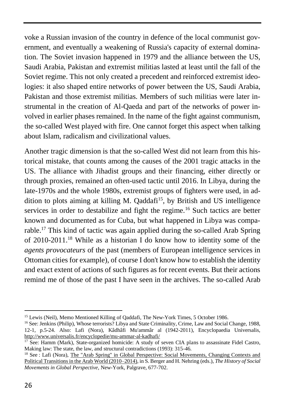voke a Russian invasion of the country in defence of the local communist government, and eventually a weakening of Russia's capacity of external domination. The Soviet invasion happened in 1979 and the alliance between the US, Saudi Arabia, Pakistan and extremist militias lasted at least until the fall of the Soviet regime. This not only created a precedent and reinforced extremist ideologies: it also shaped entire networks of power between the US, Saudi Arabia, Pakistan and those extremist militias. Members of such militias were later instrumental in the creation of Al-Qaeda and part of the networks of power involved in earlier phases remained. In the name of the fight against communism, the so-called West played with fire. One cannot forget this aspect when talking about Islam, radicalism and civilizational values.

Another tragic dimension is that the so-called West did not learn from this historical mistake, that counts among the causes of the 2001 tragic attacks in the US. The alliance with Jihadist groups and their financing, either directly or through proxies, remained an often-used tactic until 2016. In Libya, during the late-1970s and the whole 1980s, extremist groups of fighters were used, in addition to plots aiming at killing M. Qaddafi<sup>15</sup>, by British and US intelligence services in order to destabilize and fight the regime.<sup>16</sup> Such tactics are better known and documented as for Cuba, but what happened in Libya was comparable.<sup>17</sup> This kind of tactic was again applied during the so-called Arab Spring of 2010-2011.<sup>18</sup> While as a historian I do know how to identity some of the *agents provocateurs* of the past (members of European intelligence services in Ottoman cities for example), of course I don't know how to establish the identity and exact extent of actions of such figures as for recent events. But their actions remind me of those of the past I have seen in the archives. The so-called Arab

**.** 

<sup>&</sup>lt;sup>15</sup> Lewis (Neil), Memo Mentioned Killing of Qaddafi, The New-York Times, 5 October 1986.

<sup>&</sup>lt;sup>16</sup> See: Jenkins (Philip), Whose terrorists? Libya and State Criminality, Crime, Law and Social Change, 1988, 12-1, p.5-24. Also: Lafi (Nora), Kâdhâfi Mu'ammâr al (1942-2011), Encyclopaedia Universalis, <http://www.universalis.fr/encyclopedie/mu-ammar-al-kadhafi/>

<sup>&</sup>lt;sup>17</sup> See: Hamm (Mark), State-organized homicide: A study of seven CIA plans to assassinate Fidel Castro, Making law: The state, the law, and structural contradictions (1993): 315-46.

<sup>18</sup> See : Lafi (Nora)[, The "Arab Spring" in Global Perspective: Social Movements, Changing Contexts and](http://link.springer.com/chapter/10.1057/978-1-137-30427-8_23)  [Political Transitions in the Arab World \(2010–2014\),](http://link.springer.com/chapter/10.1057/978-1-137-30427-8_23) in S. Berger and H. Nehring (eds.), *The History of Social Movements in Global Perspective*, New-York, Palgrave, 677-702.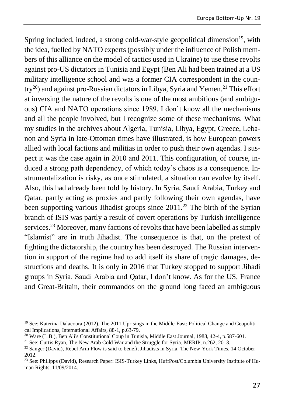Spring included, indeed, a strong cold-war-style geopolitical dimension<sup>19</sup>, with the idea, fuelled by NATO experts (possibly under the influence of Polish members of this alliance on the model of tactics used in Ukraine) to use these revolts against pro-US dictators in Tunisia and Egypt (Ben Ali had been trained at a US military intelligence school and was a former CIA correspondent in the country<sup>20</sup>) and against pro-Russian dictators in Libya, Syria and Yemen.<sup>21</sup> This effort at inversing the nature of the revolts is one of the most ambitious (and ambiguous) CIA and NATO operations since 1989. I don't know all the mechanisms and all the people involved, but I recognize some of these mechanisms. What my studies in the archives about Algeria, Tunisia, Libya, Egypt, Greece, Lebanon and Syria in late-Ottoman times have illustrated, is how European powers allied with local factions and militias in order to push their own agendas. I suspect it was the case again in 2010 and 2011. This configuration, of course, induced a strong path dependency, of which today's chaos is a consequence. Instrumentalization is risky, as once stimulated, a situation can evolve by itself. Also, this had already been told by history. In Syria, Saudi Arabia, Turkey and Qatar, partly acting as proxies and partly following their own agendas, have been supporting various Jihadist groups since  $2011<sup>22</sup>$  The birth of the Syrian branch of ISIS was partly a result of covert operations by Turkish intelligence services.<sup>23</sup> Moreover, many factions of revolts that have been labelled as simply "Islamist" are in truth Jihadist. The consequence is that, on the pretext of fighting the dictatorship, the country has been destroyed. The Russian intervention in support of the regime had to add itself its share of tragic damages, destructions and deaths. It is only in 2016 that Turkey stopped to support Jihadi groups in Syria. Saudi Arabia and Qatar, I don't know. As for the US, France and Great-Britain, their commandos on the ground long faced an ambiguous

-

 $19$  See: Katerina Dalacoura (2012), The 2011 Uprisings in the Middle-East: Political Change and Geopolitical Implications, International Affairs, 88-1, p.63-79.

<sup>&</sup>lt;sup>20</sup> Ware (L.B.), Ben Ali's Constitutional Coup in Tunisia, Middle East Journal, 1988, 42-4, p.587-601.

<sup>21</sup> See: Curtis Ryan, The New Arab Cold War and the Struggle for Syria, MERIP, n.262, 2013.

<sup>&</sup>lt;sup>22</sup> Sanger (David), Rebel Arm Flow is said to benefit Jihadists in Syria, The New-York Times, 14 October 2012.

<sup>&</sup>lt;sup>23</sup> See: Philipps (David), Research Paper: ISIS-Turkey Links, HuffPost/Columbia University Institute of Human Rights, 11/09/2014.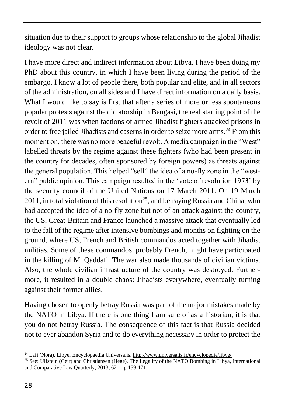situation due to their support to groups whose relationship to the global Jihadist ideology was not clear.

I have more direct and indirect information about Libya. I have been doing my PhD about this country, in which I have been living during the period of the embargo. I know a lot of people there, both popular and elite, and in all sectors of the administration, on all sides and I have direct information on a daily basis. What I would like to say is first that after a series of more or less spontaneous popular protests against the dictatorship in Bengasi, the real starting point of the revolt of 2011 was when factions of armed Jihadist fighters attacked prisons in order to free jailed Jihadists and caserns in order to seize more arms.<sup>24</sup> From this moment on, there was no more peaceful revolt. A media campaign in the "West" labelled threats by the regime against these fighters (who had been present in the country for decades, often sponsored by foreign powers) as threats against the general population. This helped "sell" the idea of a no-fly zone in the "western" public opinion. This campaign resulted in the 'vote of resolution 1973' by the security council of the United Nations on 17 March 2011. On 19 March  $2011$ , in total violation of this resolution<sup>25</sup>, and betraying Russia and China, who had accepted the idea of a no-fly zone but not of an attack against the country, the US, Great-Britain and France launched a massive attack that eventually led to the fall of the regime after intensive bombings and months on fighting on the ground, where US, French and British commandos acted together with Jihadist militias. Some of these commandos, probably French, might have participated in the killing of M. Qaddafi. The war also made thousands of civilian victims. Also, the whole civilian infrastructure of the country was destroyed. Furthermore, it resulted in a double chaos: Jihadists everywhere, eventually turning against their former allies.

Having chosen to openly betray Russia was part of the major mistakes made by the NATO in Libya. If there is one thing I am sure of as a historian, it is that you do not betray Russia. The consequence of this fact is that Russia decided not to ever abandon Syria and to do everything necessary in order to protect the

<sup>1</sup>  $^{24}$  Lafi (Nora), Libye, Encyclopaedia Universalis,<http://www.universalis.fr/encyclopedie/libye/>

<sup>25</sup> See: Ulfstein (Geir) and Christiansen (Hege), The Legality of the NATO Bombing in Libya, International and Comparative Law Quarterly, 2013, 62-1, p.159-171.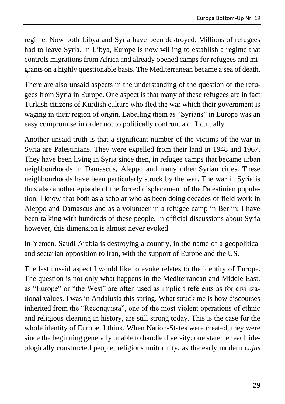regime. Now both Libya and Syria have been destroyed. Millions of refugees had to leave Syria. In Libya, Europe is now willing to establish a regime that controls migrations from Africa and already opened camps for refugees and migrants on a highly questionable basis. The Mediterranean became a sea of death.

There are also unsaid aspects in the understanding of the question of the refugees from Syria in Europe. One aspect is that many of these refugees are in fact Turkish citizens of Kurdish culture who fled the war which their government is waging in their region of origin. Labelling them as "Syrians" in Europe was an easy compromise in order not to politically confront a difficult ally.

Another unsaid truth is that a significant number of the victims of the war in Syria are Palestinians. They were expelled from their land in 1948 and 1967. They have been living in Syria since then, in refugee camps that became urban neighbourhoods in Damascus, Aleppo and many other Syrian cities. These neighbourhoods have been particularly struck by the war. The war in Syria is thus also another episode of the forced displacement of the Palestinian population. I know that both as a scholar who as been doing decades of field work in Aleppo and Damascus and as a volunteer in a refugee camp in Berlin: I have been talking with hundreds of these people. In official discussions about Syria however, this dimension is almost never evoked.

In Yemen, Saudi Arabia is destroying a country, in the name of a geopolitical and sectarian opposition to Iran, with the support of Europe and the US.

The last unsaid aspect I would like to evoke relates to the identity of Europe. The question is not only what happens in the Mediterranean and Middle East, as "Europe" or "the West" are often used as implicit referents as for civilizational values. I was in Andalusia this spring. What struck me is how discourses inherited from the "Reconquista", one of the most violent operations of ethnic and religious cleaning in history, are still strong today. This is the case for the whole identity of Europe, I think. When Nation-States were created, they were since the beginning generally unable to handle diversity: one state per each ideologically constructed people, religious uniformity, as the early modern *cujus*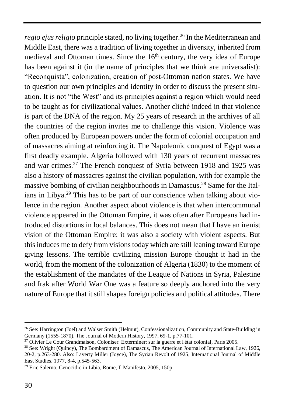*regio ejus religio* principle stated, no living together.<sup>26</sup> In the Mediterranean and Middle East, there was a tradition of living together in diversity, inherited from medieval and Ottoman times. Since the  $16<sup>th</sup>$  century, the very idea of Europe has been against it (in the name of principles that we think are universalist): "Reconquista", colonization, creation of post-Ottoman nation states. We have to question our own principles and identity in order to discuss the present situation. It is not "the West" and its principles against a region which would need to be taught as for civilizational values. Another cliché indeed in that violence is part of the DNA of the region. My 25 years of research in the archives of all the countries of the region invites me to challenge this vision. Violence was often produced by European powers under the form of colonial occupation and of massacres aiming at reinforcing it. The Napoleonic conquest of Egypt was a first deadly example. Algeria followed with 130 years of recurrent massacres and war crimes.<sup>27</sup> The French conquest of Syria between 1918 and 1925 was also a history of massacres against the civilian population, with for example the massive bombing of civilian neighbourhoods in Damascus.<sup>28</sup> Same for the Italians in Libya.<sup>29</sup> This has to be part of our conscience when talking about violence in the region. Another aspect about violence is that when intercommunal violence appeared in the Ottoman Empire, it was often after Europeans had introduced distortions in local balances. This does not mean that I have an irenist vision of the Ottoman Empire: it was also a society with violent aspects. But this induces me to defy from visions today which are still leaning toward Europe giving lessons. The terrible civilizing mission Europe thought it had in the world, from the moment of the colonization of Algeria (1830) to the moment of the establishment of the mandates of the League of Nations in Syria, Palestine and Irak after World War One was a feature so deeply anchored into the very nature of Europe that it still shapes foreign policies and political attitudes. There

**.** 

<sup>&</sup>lt;sup>26</sup> See: Harrington (Joel) and Walser Smith (Helmut), Confessionalization, Community and State-Building in Germany (1555-1870), The Journal of Modern History, 1997, 69-1, p.77-101.

<sup>&</sup>lt;sup>27</sup> Olivier Le Cour Grandmaison, Coloniser. Exterminer: sur la guerre et l'état colonial, Paris 2005.

<sup>&</sup>lt;sup>28</sup> See: Wright (Quincy), The Bombardment of Damascus, The American Journal of International Law, 1926, 20-2, p.263-280. Also: Laverty Miller (Joyce), The Syrian Revolt of 1925, International Journal of Middle East Studies, 1977, 8-4, p.545-563.

<sup>29</sup> Eric Salerno, Genocidio in Libia, Rome, Il Manifesto, 2005, 150p.